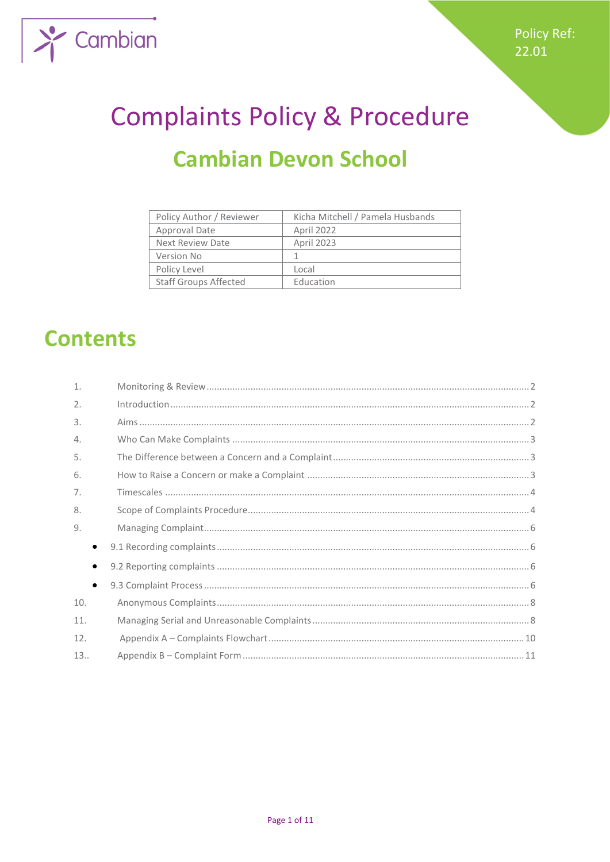

# **Complaints Policy & Procedure Cambian Devon School**

| Policy Author / Reviewer     | Kicha Mitchell / Pamela Husbands |
|------------------------------|----------------------------------|
| Approval Date                | April 2022                       |
| Next Review Date             | April 2023                       |
| Version No                   |                                  |
| Policy Level                 | Local                            |
| <b>Staff Groups Affected</b> | Education                        |

# **Contents**

| $\mathbf{1}$ . |  |
|----------------|--|
| 2.             |  |
| 3.             |  |
| $\Delta$ .     |  |
| 5.             |  |
| 6.             |  |
| 7 <sub>1</sub> |  |
| 8.             |  |
| 9.             |  |
|                |  |
|                |  |
| $\bullet$      |  |
| 10.            |  |
| 11.            |  |
| 12.            |  |
| 13.            |  |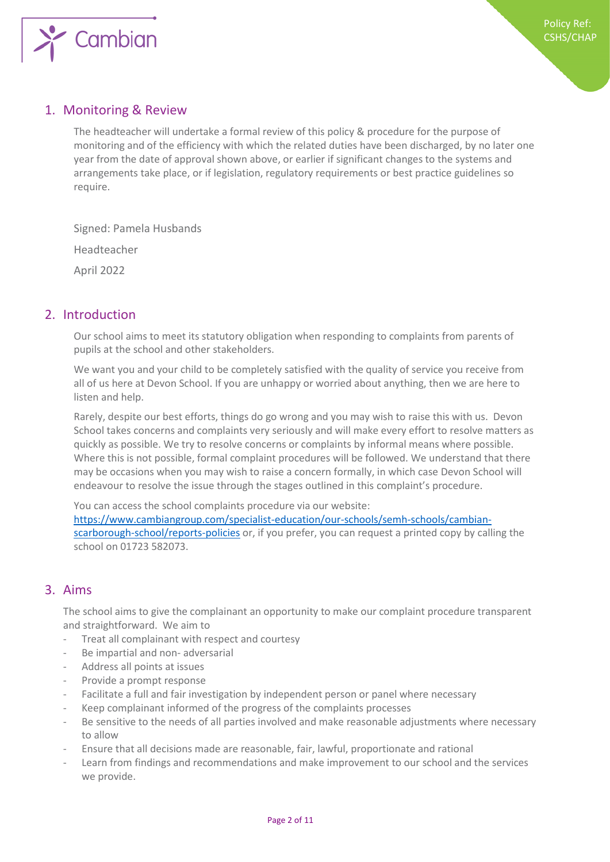

# 1. Monitoring & Review

The headteacher will undertake a formal review of this policy & procedure for the purpose of monitoring and of the efficiency with which the related duties have been discharged, by no later one year from the date of approval shown above, or earlier if significant changes to the systems and arrangements take place, or if legislation, regulatory requirements or best practice guidelines so require.

Signed: Pamela Husbands Headteacher April 2022

### 2. Introduction

Our school aims to meet its statutory obligation when responding to complaints from parents of pupils at the school and other stakeholders.

We want you and your child to be completely satisfied with the quality of service you receive from all of us here at Devon School. If you are unhappy or worried about anything, then we are here to listen and help.

Rarely, despite our best efforts, things do go wrong and you may wish to raise this with us. Devon School takes concerns and complaints very seriously and will make every effort to resolve matters as quickly as possible. We try to resolve concerns or complaints by informal means where possible. Where this is not possible, formal complaint procedures will be followed. We understand that there may be occasions when you may wish to raise a concern formally, in which case Devon School will endeavour to resolve the issue through the stages outlined in this complaint's procedure.

You can access the school complaints procedure via our website: [https://www.cambiangroup.com/specialist-education/our-schools/semh-schools/cambian](https://www.cambiangroup.com/specialist-education/our-schools/semh-schools/cambian-scarborough-school/reports-policies)[scarborough-school/reports-policies](https://www.cambiangroup.com/specialist-education/our-schools/semh-schools/cambian-scarborough-school/reports-policies) or, if you prefer, you can request a printed copy by calling the school on 01723 582073.

## 3. Aims

The school aims to give the complainant an opportunity to make our complaint procedure transparent and straightforward. We aim to

- Treat all complainant with respect and courtesy
- Be impartial and non- adversarial
- Address all points at issues
- Provide a prompt response
- Facilitate a full and fair investigation by independent person or panel where necessary
- Keep complainant informed of the progress of the complaints processes
- Be sensitive to the needs of all parties involved and make reasonable adjustments where necessary to allow
- Ensure that all decisions made are reasonable, fair, lawful, proportionate and rational
- Learn from findings and recommendations and make improvement to our school and the services we provide.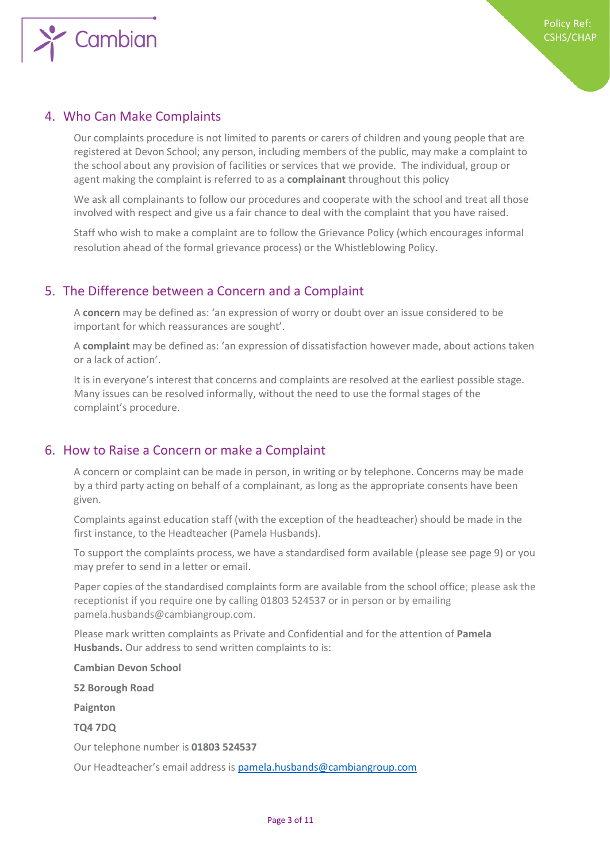

### 4. Who Can Make Complaints

Our complaints procedure is not limited to parents or carers of children and young people that are registered at Devon School; any person, including members of the public, may make a complaint to the school about any provision of facilities or services that we provide. The individual, group or agent making the complaint is referred to as a **complainant** throughout this policy

We ask all complainants to follow our procedures and cooperate with the school and treat all those involved with respect and give us a fair chance to deal with the complaint that you have raised.

Staff who wish to make a complaint are to follow the Grievance Policy (which encourages informal resolution ahead of the formal grievance process) or the Whistleblowing Policy.

#### 5. The Difference between a Concern and a Complaint

A **concern** may be defined as: 'an expression of worry or doubt over an issue considered to be important for which reassurances are sought'.

A **complaint** may be defined as: 'an expression of dissatisfaction however made, about actions taken or a lack of action'.

It is in everyone's interest that concerns and complaints are resolved at the earliest possible stage. Many issues can be resolved informally, without the need to use the formal stages of the complaint's procedure.

#### 6. How to Raise a Concern or make a Complaint

A concern or complaint can be made in person, in writing or by telephone. Concerns may be made by a third party acting on behalf of a complainant, as long as the appropriate consents have been given.

Complaints against education staff (with the exception of the headteacher) should be made in the first instance, to the Headteacher (Pamela Husbands).

To support the complaints process, we have a standardised form available (please see page 9) or you may prefer to send in a letter or email.

Paper copies of the standardised complaints form are available from the school office; please ask the receptionist if you require one by calling 01803 524537 or in person or by emailing pamela.husbands@cambiangroup.com.

Please mark written complaints as Private and Confidential and for the attention of **Pamela Husbands.** Our address to send written complaints to is:

**Cambian Devon School**

**52 Borough Road**

**Paignton** 

**TQ4 7DQ**

Our telephone number is **01803 524537**

Our Headteacher's email address is [pamela.husbands@cambiangroup.com](mailto:pamela.husbands@cambiangroup.com)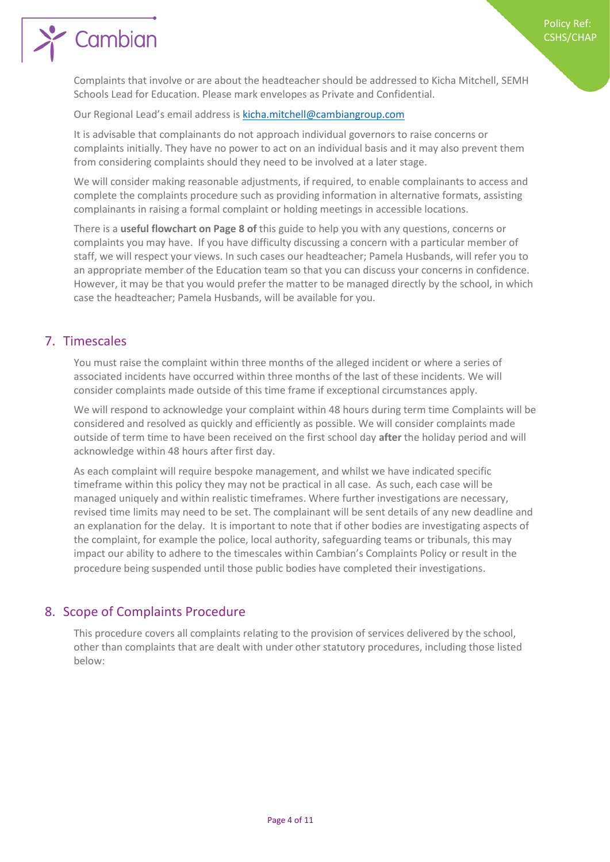# Cambian

Complaints that involve or are about the headteacher should be addressed to Kicha Mitchell, SEMH Schools Lead for Education. Please mark envelopes as Private and Confidential.

Our Regional Lead's email address is [kicha.mitchell@cambiangroup.com](mailto:kicha.mitchell@cambiangroup.com)

It is advisable that complainants do not approach individual governors to raise concerns or complaints initially. They have no power to act on an individual basis and it may also prevent them from considering complaints should they need to be involved at a later stage.

We will consider making reasonable adjustments, if required, to enable complainants to access and complete the complaints procedure such as providing information in alternative formats, assisting complainants in raising a formal complaint or holding meetings in accessible locations.

There is a **useful flowchart on Page 8 of** this guide to help you with any questions, concerns or complaints you may have. If you have difficulty discussing a concern with a particular member of staff, we will respect your views. In such cases our headteacher; Pamela Husbands, will refer you to an appropriate member of the Education team so that you can discuss your concerns in confidence. However, it may be that you would prefer the matter to be managed directly by the school, in which case the headteacher; Pamela Husbands, will be available for you.

# 7. Timescales

You must raise the complaint within three months of the alleged incident or where a series of associated incidents have occurred within three months of the last of these incidents. We will consider complaints made outside of this time frame if exceptional circumstances apply.

We will respond to acknowledge your complaint within 48 hours during term time Complaints will be considered and resolved as quickly and efficiently as possible. We will consider complaints made outside of term time to have been received on the first school day **after** the holiday period and will acknowledge within 48 hours after first day.

As each complaint will require bespoke management, and whilst we have indicated specific timeframe within this policy they may not be practical in all case. As such, each case will be managed uniquely and within realistic timeframes. Where further investigations are necessary, revised time limits may need to be set. The complainant will be sent details of any new deadline and an explanation for the delay. It is important to note that if other bodies are investigating aspects of the complaint, for example the police, local authority, safeguarding teams or tribunals, this may impact our ability to adhere to the timescales within Cambian's Complaints Policy or result in the procedure being suspended until those public bodies have completed their investigations.

# 8. Scope of Complaints Procedure

This procedure covers all complaints relating to the provision of services delivered by the school, other than complaints that are dealt with under other statutory procedures, including those listed below: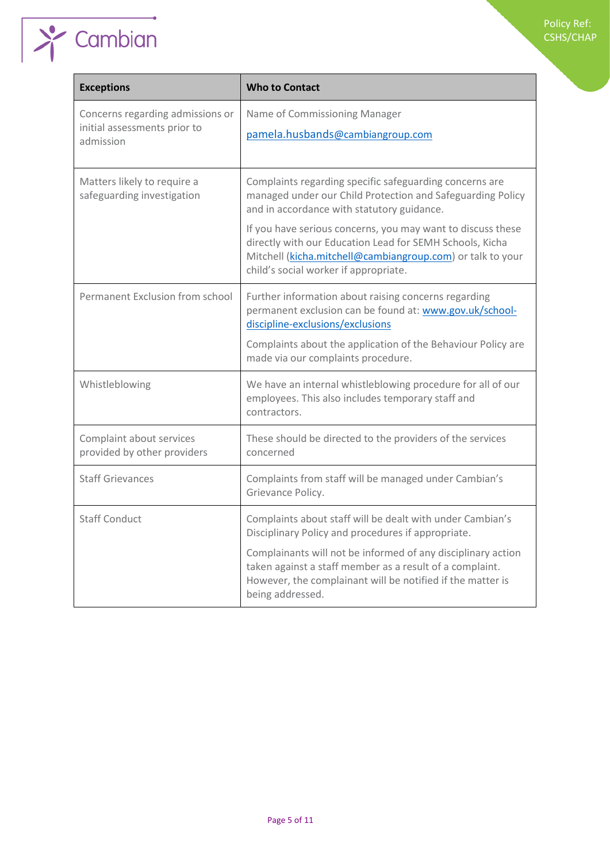#### Policy Ref: CSHS/CHAP

| <b>Who to Contact</b>                                                                                                                                                                                                                                                                                                                                                                                 |
|-------------------------------------------------------------------------------------------------------------------------------------------------------------------------------------------------------------------------------------------------------------------------------------------------------------------------------------------------------------------------------------------------------|
| Name of Commissioning Manager<br>pamela.husbands@cambiangroup.com                                                                                                                                                                                                                                                                                                                                     |
| Complaints regarding specific safeguarding concerns are<br>managed under our Child Protection and Safeguarding Policy<br>and in accordance with statutory guidance.<br>If you have serious concerns, you may want to discuss these<br>directly with our Education Lead for SEMH Schools, Kicha<br>Mitchell (kicha.mitchell@cambiangroup.com) or talk to your<br>child's social worker if appropriate. |
| Further information about raising concerns regarding<br>permanent exclusion can be found at: www.gov.uk/school-<br>discipline-exclusions/exclusions<br>Complaints about the application of the Behaviour Policy are<br>made via our complaints procedure.                                                                                                                                             |
| We have an internal whistleblowing procedure for all of our<br>employees. This also includes temporary staff and<br>contractors.                                                                                                                                                                                                                                                                      |
| These should be directed to the providers of the services<br>concerned                                                                                                                                                                                                                                                                                                                                |
| Complaints from staff will be managed under Cambian's<br>Grievance Policy.                                                                                                                                                                                                                                                                                                                            |
| Complaints about staff will be dealt with under Cambian's<br>Disciplinary Policy and procedures if appropriate.<br>Complainants will not be informed of any disciplinary action<br>taken against a staff member as a result of a complaint.<br>However, the complainant will be notified if the matter is<br>being addressed.                                                                         |
|                                                                                                                                                                                                                                                                                                                                                                                                       |

 $\sum$  Cambian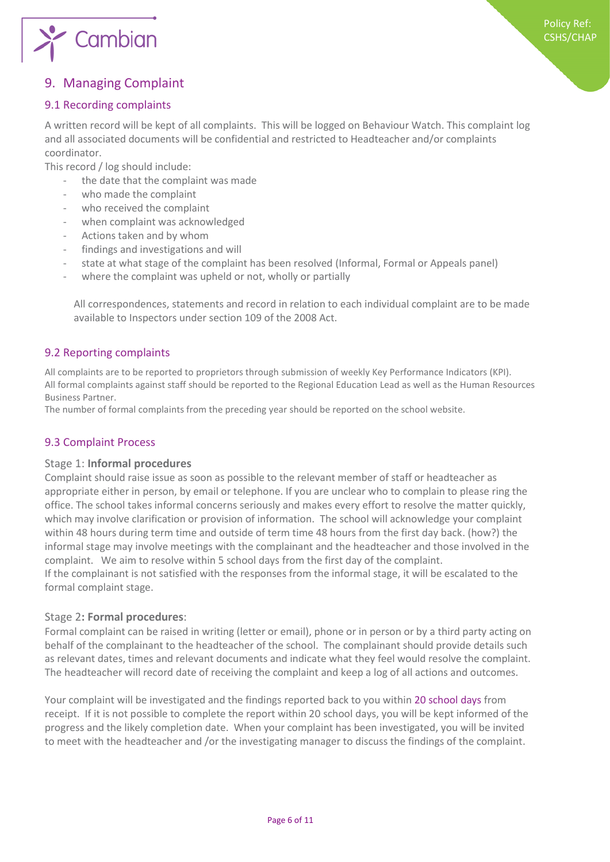

# 9. Managing Complaint

#### 9.1 Recording complaints

A written record will be kept of all complaints. This will be logged on Behaviour Watch. This complaint log and all associated documents will be confidential and restricted to Headteacher and/or complaints coordinator.

This record / log should include:

- the date that the complaint was made
- who made the complaint
- who received the complaint
- when complaint was acknowledged
- Actions taken and by whom
- findings and investigations and will
- state at what stage of the complaint has been resolved (Informal, Formal or Appeals panel)
- where the complaint was upheld or not, wholly or partially

All correspondences, statements and record in relation to each individual complaint are to be made available to Inspectors under section 109 of the 2008 Act.

#### 9.2 Reporting complaints

All complaints are to be reported to proprietors through submission of weekly Key Performance Indicators (KPI). All formal complaints against staff should be reported to the Regional Education Lead as well as the Human Resources Business Partner.

The number of formal complaints from the preceding year should be reported on the school website.

#### 9.3 Complaint Process

#### Stage 1: **Informal procedures**

Complaint should raise issue as soon as possible to the relevant member of staff or headteacher as appropriate either in person, by email or telephone. If you are unclear who to complain to please ring the office. The school takes informal concerns seriously and makes every effort to resolve the matter quickly, which may involve clarification or provision of information. The school will acknowledge your complaint within 48 hours during term time and outside of term time 48 hours from the first day back. (how?) the informal stage may involve meetings with the complainant and the headteacher and those involved in the complaint. We aim to resolve within 5 school days from the first day of the complaint. If the complainant is not satisfied with the responses from the informal stage, it will be escalated to the formal complaint stage.

#### Stage 2**: Formal procedures**:

Formal complaint can be raised in writing (letter or email), phone or in person or by a third party acting on behalf of the complainant to the headteacher of the school. The complainant should provide details such as relevant dates, times and relevant documents and indicate what they feel would resolve the complaint. The headteacher will record date of receiving the complaint and keep a log of all actions and outcomes.

Your complaint will be investigated and the findings reported back to you within 20 school days from receipt. If it is not possible to complete the report within 20 school days, you will be kept informed of the progress and the likely completion date. When your complaint has been investigated, you will be invited to meet with the headteacher and /or the investigating manager to discuss the findings of the complaint.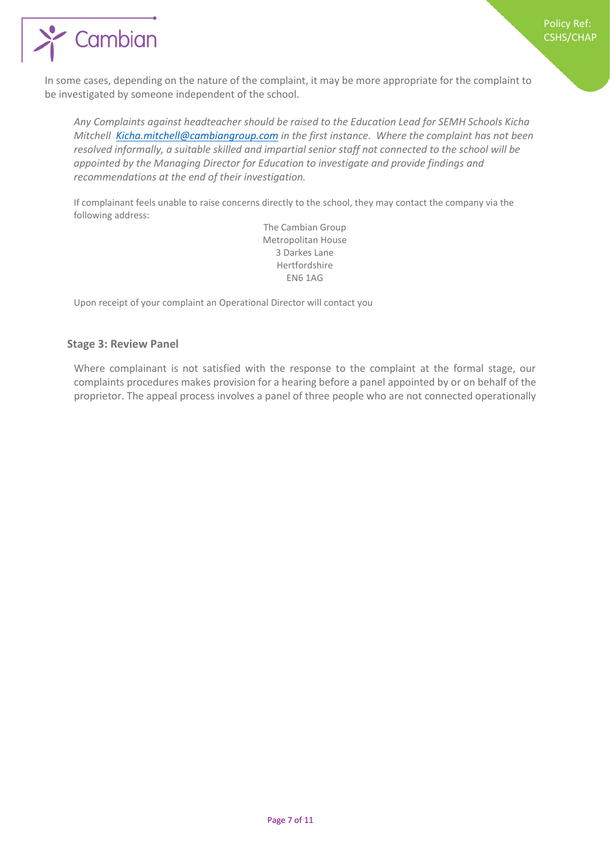

In some cases, depending on the nature of the complaint, it may be more appropriate for the complaint to be investigated by someone independent of the school.

*Any Complaints against headteacher should be raised to the Education Lead for SEMH Schools Kicha Mitchell [Kicha.mitchell@cambiangroup.com](mailto:Kicha.mitchell@cambiangroup.com) in the first instance. Where the complaint has not been resolved informally, a suitable skilled and impartial senior staff not connected to the school will be appointed by the Managing Director for Education to investigate and provide findings and recommendations at the end of their investigation.*

If complainant feels unable to raise concerns directly to the school, they may contact the company via the following address:

> The Cambian Group Metropolitan House 3 Darkes Lane Hertfordshire EN6 1AG

Upon receipt of your complaint an Operational Director will contact you

#### **Stage 3: Review Panel**

Where complainant is not satisfied with the response to the complaint at the formal stage, our complaints procedures makes provision for a hearing before a panel appointed by or on behalf of the proprietor. The appeal process involves a panel of three people who are not connected operationally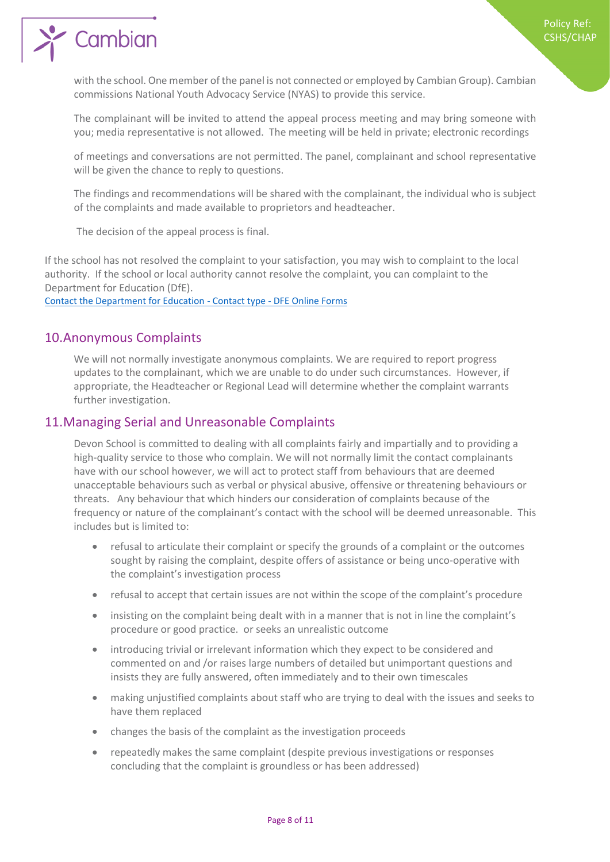$\sum_{i=1}^{\infty}$  Cambian

with the school. One member of the panel is not connected or employed by Cambian Group). Cambian commissions National Youth Advocacy Service (NYAS) to provide this service.

The complainant will be invited to attend the appeal process meeting and may bring someone with you; media representative is not allowed. The meeting will be held in private; electronic recordings

of meetings and conversations are not permitted. The panel, complainant and school representative will be given the chance to reply to questions.

The findings and recommendations will be shared with the complainant, the individual who is subject of the complaints and made available to proprietors and headteacher.

The decision of the appeal process is final.

If the school has not resolved the complaint to your satisfaction, you may wish to complaint to the local authority. If the school or local authority cannot resolve the complaint, you can complaint to the Department for Education (DfE).

[Contact the Department for Education -](https://form.education.gov.uk/service/Contact_the_Department_for_Education) Contact type - DFE Online Forms

#### 10.Anonymous Complaints

We will not normally investigate anonymous complaints. We are required to report progress updates to the complainant, which we are unable to do under such circumstances. However, if appropriate, the Headteacher or Regional Lead will determine whether the complaint warrants further investigation.

#### 11.Managing Serial and Unreasonable Complaints

Devon School is committed to dealing with all complaints fairly and impartially and to providing a high-quality service to those who complain. We will not normally limit the contact complainants have with our school however, we will act to protect staff from behaviours that are deemed unacceptable behaviours such as verbal or physical abusive, offensive or threatening behaviours or threats. Any behaviour that which hinders our consideration of complaints because of the frequency or nature of the complainant's contact with the school will be deemed unreasonable. This includes but is limited to:

- refusal to articulate their complaint or specify the grounds of a complaint or the outcomes sought by raising the complaint, despite offers of assistance or being unco-operative with the complaint's investigation process
- refusal to accept that certain issues are not within the scope of the complaint's procedure
- insisting on the complaint being dealt with in a manner that is not in line the complaint's procedure or good practice. or seeks an unrealistic outcome
- introducing trivial or irrelevant information which they expect to be considered and commented on and /or raises large numbers of detailed but unimportant questions and insists they are fully answered, often immediately and to their own timescales
- making unjustified complaints about staff who are trying to deal with the issues and seeks to have them replaced
- changes the basis of the complaint as the investigation proceeds
- repeatedly makes the same complaint (despite previous investigations or responses concluding that the complaint is groundless or has been addressed)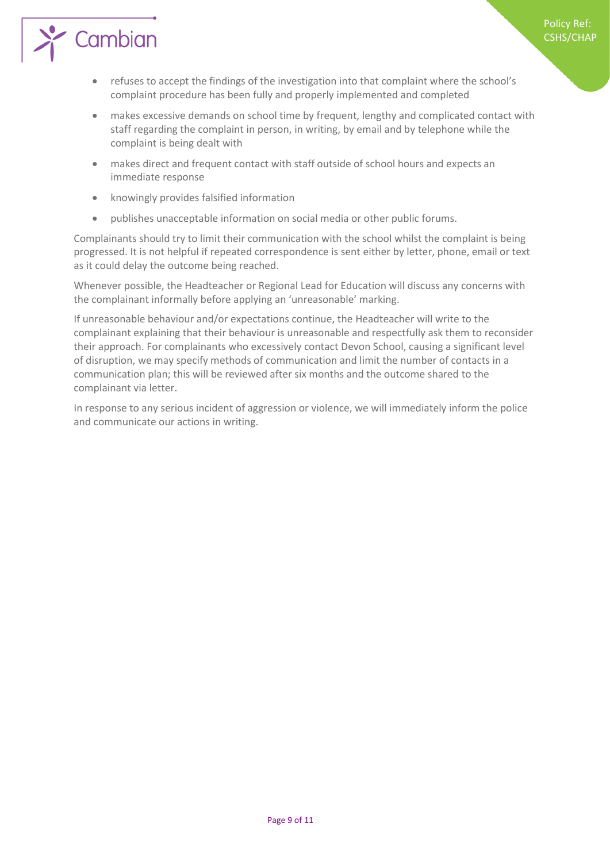

- refuses to accept the findings of the investigation into that complaint where the school's complaint procedure has been fully and properly implemented and completed
- makes excessive demands on school time by frequent, lengthy and complicated contact with staff regarding the complaint in person, in writing, by email and by telephone while the complaint is being dealt with

Policy Ref: CSHS/CHAP

- makes direct and frequent contact with staff outside of school hours and expects an immediate response
- knowingly provides falsified information
- publishes unacceptable information on social media or other public forums.

Complainants should try to limit their communication with the school whilst the complaint is being progressed. It is not helpful if repeated correspondence is sent either by letter, phone, email or text as it could delay the outcome being reached.

Whenever possible, the Headteacher or Regional Lead for Education will discuss any concerns with the complainant informally before applying an 'unreasonable' marking.

If unreasonable behaviour and/or expectations continue, the Headteacher will write to the complainant explaining that their behaviour is unreasonable and respectfully ask them to reconsider their approach. For complainants who excessively contact Devon School, causing a significant level of disruption, we may specify methods of communication and limit the number of contacts in a communication plan; this will be reviewed after six months and the outcome shared to the complainant via letter.

In response to any serious incident of aggression or violence, we will immediately inform the police and communicate our actions in writing.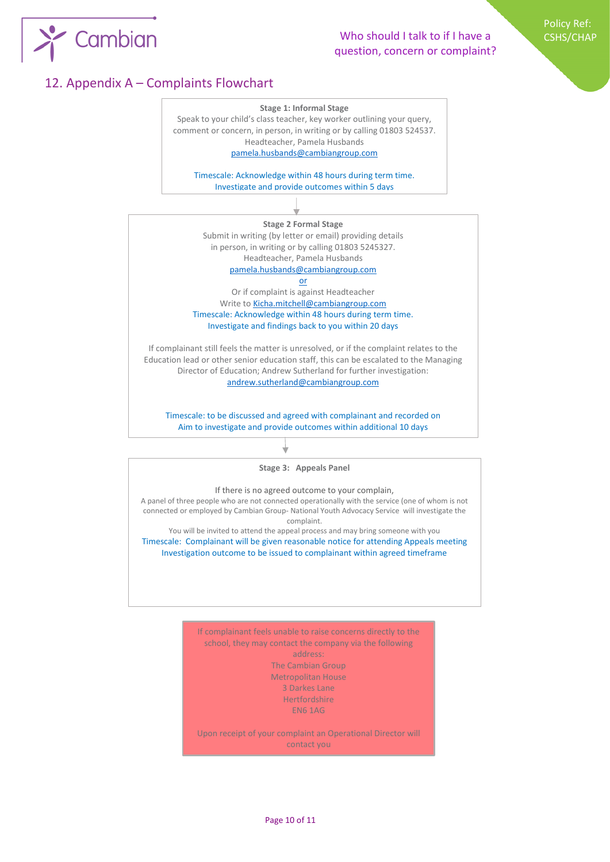

# Who should I talk to if I have a question, concern or complaint?

Policy Ref: CSHS/CHAP

# 12. Appendix A – Complaints Flowchart



school, they may contact the company via the following address: The Cambian Group Metropolitan House 3 Darkes Lane Hertfordshire EN6 1AG Upon receipt of your complaint an Operational Director will

contact you